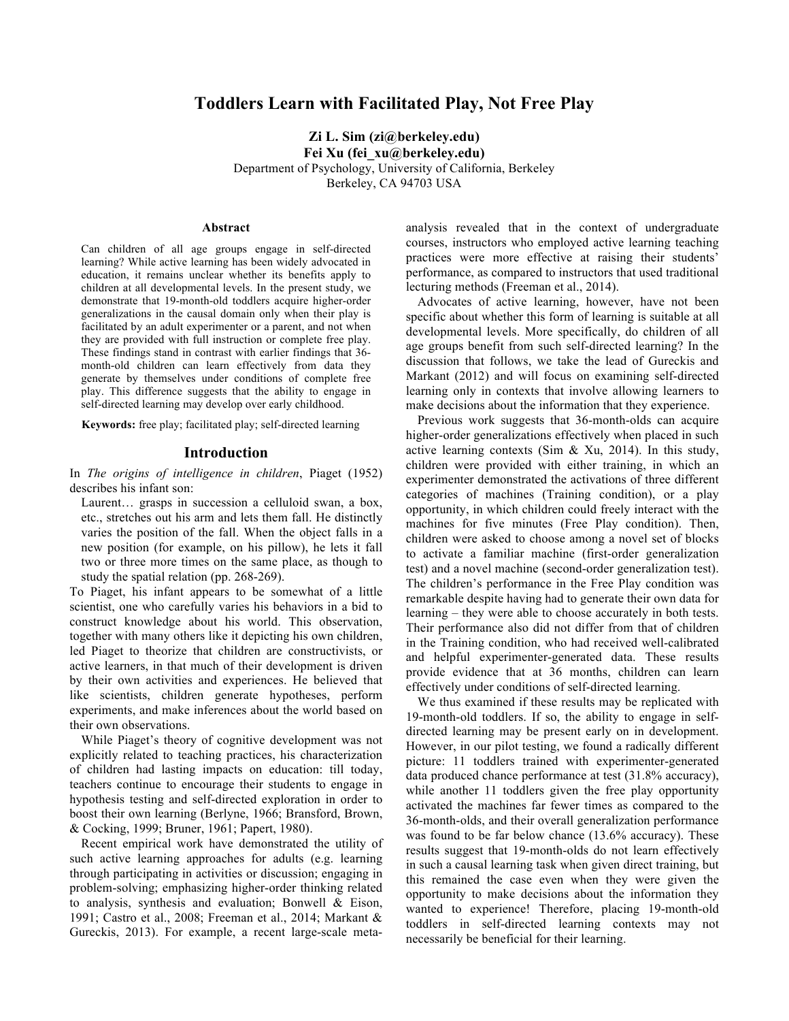# **Toddlers Learn with Facilitated Play, Not Free Play**

**Zi L. Sim (zi@berkeley.edu) Fei Xu (fei\_xu@berkeley.edu)** Department of Psychology, University of California, Berkeley Berkeley, CA 94703 USA

#### **Abstract**

Can children of all age groups engage in self-directed learning? While active learning has been widely advocated in education, it remains unclear whether its benefits apply to children at all developmental levels. In the present study, we demonstrate that 19-month-old toddlers acquire higher-order generalizations in the causal domain only when their play is facilitated by an adult experimenter or a parent, and not when they are provided with full instruction or complete free play. These findings stand in contrast with earlier findings that 36 month-old children can learn effectively from data they generate by themselves under conditions of complete free play. This difference suggests that the ability to engage in self-directed learning may develop over early childhood.

**Keywords:** free play; facilitated play; self-directed learning

#### **Introduction**

In *The origins of intelligence in children*, Piaget (1952) describes his infant son:

Laurent… grasps in succession a celluloid swan, a box, etc., stretches out his arm and lets them fall. He distinctly varies the position of the fall. When the object falls in a new position (for example, on his pillow), he lets it fall two or three more times on the same place, as though to study the spatial relation (pp. 268-269).

To Piaget, his infant appears to be somewhat of a little scientist, one who carefully varies his behaviors in a bid to construct knowledge about his world. This observation, together with many others like it depicting his own children, led Piaget to theorize that children are constructivists, or active learners, in that much of their development is driven by their own activities and experiences. He believed that like scientists, children generate hypotheses, perform experiments, and make inferences about the world based on their own observations.

While Piaget's theory of cognitive development was not explicitly related to teaching practices, his characterization of children had lasting impacts on education: till today, teachers continue to encourage their students to engage in hypothesis testing and self-directed exploration in order to boost their own learning (Berlyne, 1966; Bransford, Brown, & Cocking, 1999; Bruner, 1961; Papert, 1980).

Recent empirical work have demonstrated the utility of such active learning approaches for adults (e.g. learning through participating in activities or discussion; engaging in problem-solving; emphasizing higher-order thinking related to analysis, synthesis and evaluation; Bonwell & Eison, 1991; Castro et al., 2008; Freeman et al., 2014; Markant & Gureckis, 2013). For example, a recent large-scale metaanalysis revealed that in the context of undergraduate courses, instructors who employed active learning teaching practices were more effective at raising their students' performance, as compared to instructors that used traditional lecturing methods (Freeman et al., 2014).

Advocates of active learning, however, have not been specific about whether this form of learning is suitable at all developmental levels. More specifically, do children of all age groups benefit from such self-directed learning? In the discussion that follows, we take the lead of Gureckis and Markant (2012) and will focus on examining self-directed learning only in contexts that involve allowing learners to make decisions about the information that they experience.

Previous work suggests that 36-month-olds can acquire higher-order generalizations effectively when placed in such active learning contexts (Sim & Xu, 2014). In this study, children were provided with either training, in which an experimenter demonstrated the activations of three different categories of machines (Training condition), or a play opportunity, in which children could freely interact with the machines for five minutes (Free Play condition). Then, children were asked to choose among a novel set of blocks to activate a familiar machine (first-order generalization test) and a novel machine (second-order generalization test). The children's performance in the Free Play condition was remarkable despite having had to generate their own data for learning – they were able to choose accurately in both tests. Their performance also did not differ from that of children in the Training condition, who had received well-calibrated and helpful experimenter-generated data. These results provide evidence that at 36 months, children can learn effectively under conditions of self-directed learning.

We thus examined if these results may be replicated with 19-month-old toddlers. If so, the ability to engage in selfdirected learning may be present early on in development. However, in our pilot testing, we found a radically different picture: 11 toddlers trained with experimenter-generated data produced chance performance at test (31.8% accuracy), while another 11 toddlers given the free play opportunity activated the machines far fewer times as compared to the 36-month-olds, and their overall generalization performance was found to be far below chance (13.6% accuracy). These results suggest that 19-month-olds do not learn effectively in such a causal learning task when given direct training, but this remained the case even when they were given the opportunity to make decisions about the information they wanted to experience! Therefore, placing 19-month-old toddlers in self-directed learning contexts may not necessarily be beneficial for their learning.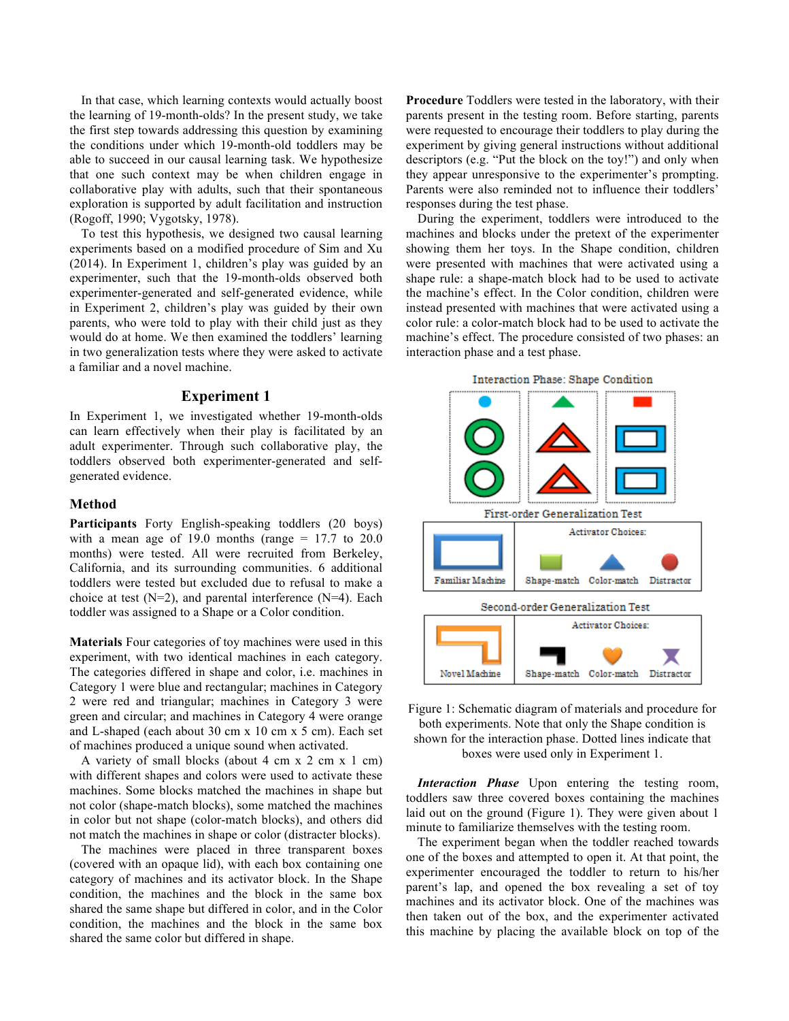In that case, which learning contexts would actually boost the learning of 19-month-olds? In the present study, we take the first step towards addressing this question by examining the conditions under which 19-month-old toddlers may be able to succeed in our causal learning task. We hypothesize that one such context may be when children engage in collaborative play with adults, such that their spontaneous exploration is supported by adult facilitation and instruction (Rogoff, 1990; Vygotsky, 1978).

To test this hypothesis, we designed two causal learning experiments based on a modified procedure of Sim and Xu (2014). In Experiment 1, children's play was guided by an experimenter, such that the 19-month-olds observed both experimenter-generated and self-generated evidence, while in Experiment 2, children's play was guided by their own parents, who were told to play with their child just as they would do at home. We then examined the toddlers' learning in two generalization tests where they were asked to activate a familiar and a novel machine.

## **Experiment 1**

In Experiment 1, we investigated whether 19-month-olds can learn effectively when their play is facilitated by an adult experimenter. Through such collaborative play, the toddlers observed both experimenter-generated and selfgenerated evidence.

#### **Method**

**Participants** Forty English-speaking toddlers (20 boys) with a mean age of 19.0 months (range  $= 17.7$  to 20.0 months) were tested. All were recruited from Berkeley, California, and its surrounding communities. 6 additional toddlers were tested but excluded due to refusal to make a choice at test  $(N=2)$ , and parental interference  $(N=4)$ . Each toddler was assigned to a Shape or a Color condition.

**Materials** Four categories of toy machines were used in this experiment, with two identical machines in each category. The categories differed in shape and color, i.e. machines in Category 1 were blue and rectangular; machines in Category 2 were red and triangular; machines in Category 3 were green and circular; and machines in Category 4 were orange and L-shaped (each about 30 cm x 10 cm x 5 cm). Each set of machines produced a unique sound when activated.

A variety of small blocks (about 4 cm x 2 cm x 1 cm) with different shapes and colors were used to activate these machines. Some blocks matched the machines in shape but not color (shape-match blocks), some matched the machines in color but not shape (color-match blocks), and others did not match the machines in shape or color (distracter blocks).

The machines were placed in three transparent boxes (covered with an opaque lid), with each box containing one category of machines and its activator block. In the Shape condition, the machines and the block in the same box shared the same shape but differed in color, and in the Color condition, the machines and the block in the same box shared the same color but differed in shape.

**Procedure** Toddlers were tested in the laboratory, with their parents present in the testing room. Before starting, parents were requested to encourage their toddlers to play during the experiment by giving general instructions without additional descriptors (e.g. "Put the block on the toy!") and only when they appear unresponsive to the experimenter's prompting. Parents were also reminded not to influence their toddlers' responses during the test phase.

During the experiment, toddlers were introduced to the machines and blocks under the pretext of the experimenter showing them her toys. In the Shape condition, children were presented with machines that were activated using a shape rule: a shape-match block had to be used to activate the machine's effect. In the Color condition, children were instead presented with machines that were activated using a color rule: a color-match block had to be used to activate the machine's effect. The procedure consisted of two phases: an interaction phase and a test phase.



Figure 1: Schematic diagram of materials and procedure for both experiments. Note that only the Shape condition is shown for the interaction phase. Dotted lines indicate that boxes were used only in Experiment 1.

*Interaction Phase* Upon entering the testing room, toddlers saw three covered boxes containing the machines laid out on the ground (Figure 1). They were given about 1 minute to familiarize themselves with the testing room.

The experiment began when the toddler reached towards one of the boxes and attempted to open it. At that point, the experimenter encouraged the toddler to return to his/her parent's lap, and opened the box revealing a set of toy machines and its activator block. One of the machines was then taken out of the box, and the experimenter activated this machine by placing the available block on top of the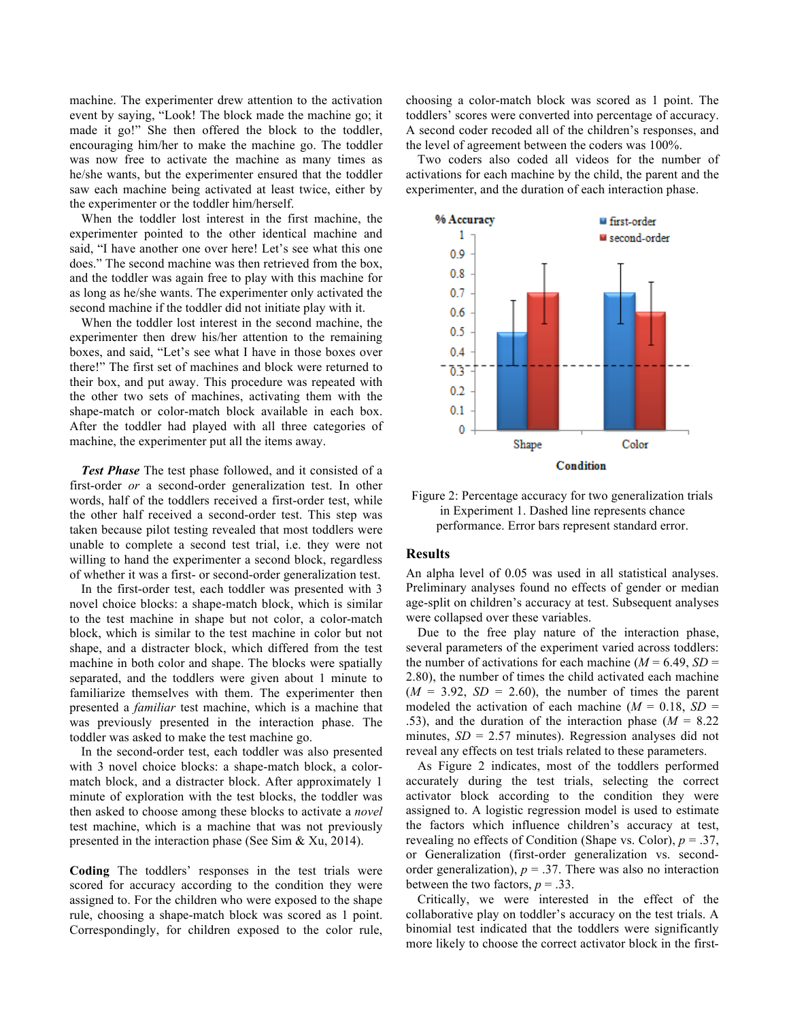machine. The experimenter drew attention to the activation event by saying, "Look! The block made the machine go; it made it go!" She then offered the block to the toddler, encouraging him/her to make the machine go. The toddler was now free to activate the machine as many times as he/she wants, but the experimenter ensured that the toddler saw each machine being activated at least twice, either by the experimenter or the toddler him/herself.

When the toddler lost interest in the first machine, the experimenter pointed to the other identical machine and said, "I have another one over here! Let's see what this one does." The second machine was then retrieved from the box, and the toddler was again free to play with this machine for as long as he/she wants. The experimenter only activated the second machine if the toddler did not initiate play with it.

When the toddler lost interest in the second machine, the experimenter then drew his/her attention to the remaining boxes, and said, "Let's see what I have in those boxes over there!" The first set of machines and block were returned to their box, and put away. This procedure was repeated with the other two sets of machines, activating them with the shape-match or color-match block available in each box. After the toddler had played with all three categories of machine, the experimenter put all the items away.

*Test Phase* The test phase followed, and it consisted of a first-order *or* a second-order generalization test. In other words, half of the toddlers received a first-order test, while the other half received a second-order test. This step was taken because pilot testing revealed that most toddlers were unable to complete a second test trial, i.e. they were not willing to hand the experimenter a second block, regardless of whether it was a first- or second-order generalization test.

In the first-order test, each toddler was presented with 3 novel choice blocks: a shape-match block, which is similar to the test machine in shape but not color, a color-match block, which is similar to the test machine in color but not shape, and a distracter block, which differed from the test machine in both color and shape. The blocks were spatially separated, and the toddlers were given about 1 minute to familiarize themselves with them. The experimenter then presented a *familiar* test machine, which is a machine that was previously presented in the interaction phase. The toddler was asked to make the test machine go.

In the second-order test, each toddler was also presented with 3 novel choice blocks: a shape-match block, a colormatch block, and a distracter block. After approximately 1 minute of exploration with the test blocks, the toddler was then asked to choose among these blocks to activate a *novel* test machine, which is a machine that was not previously presented in the interaction phase (See Sim & Xu, 2014).

**Coding** The toddlers' responses in the test trials were scored for accuracy according to the condition they were assigned to. For the children who were exposed to the shape rule, choosing a shape-match block was scored as 1 point. Correspondingly, for children exposed to the color rule, choosing a color-match block was scored as 1 point. The toddlers' scores were converted into percentage of accuracy. A second coder recoded all of the children's responses, and the level of agreement between the coders was 100%.

Two coders also coded all videos for the number of activations for each machine by the child, the parent and the experimenter, and the duration of each interaction phase.



Figure 2: Percentage accuracy for two generalization trials in Experiment 1. Dashed line represents chance performance. Error bars represent standard error.

#### **Results**

An alpha level of 0.05 was used in all statistical analyses. Preliminary analyses found no effects of gender or median age-split on children's accuracy at test. Subsequent analyses were collapsed over these variables.

Due to the free play nature of the interaction phase, several parameters of the experiment varied across toddlers: the number of activations for each machine  $(M = 6.49, SD =$ 2.80), the number of times the child activated each machine  $(M = 3.92, SD = 2.60)$ , the number of times the parent modeled the activation of each machine  $(M = 0.18, SD =$ .53), and the duration of the interaction phase  $(M = 8.22)$ minutes,  $SD = 2.57$  minutes). Regression analyses did not reveal any effects on test trials related to these parameters.

As Figure 2 indicates, most of the toddlers performed accurately during the test trials, selecting the correct activator block according to the condition they were assigned to. A logistic regression model is used to estimate the factors which influence children's accuracy at test, revealing no effects of Condition (Shape vs. Color), *p* = .37, or Generalization (first-order generalization vs. secondorder generalization),  $p = 0.37$ . There was also no interaction between the two factors,  $p = .33$ .

Critically, we were interested in the effect of the collaborative play on toddler's accuracy on the test trials. A binomial test indicated that the toddlers were significantly more likely to choose the correct activator block in the first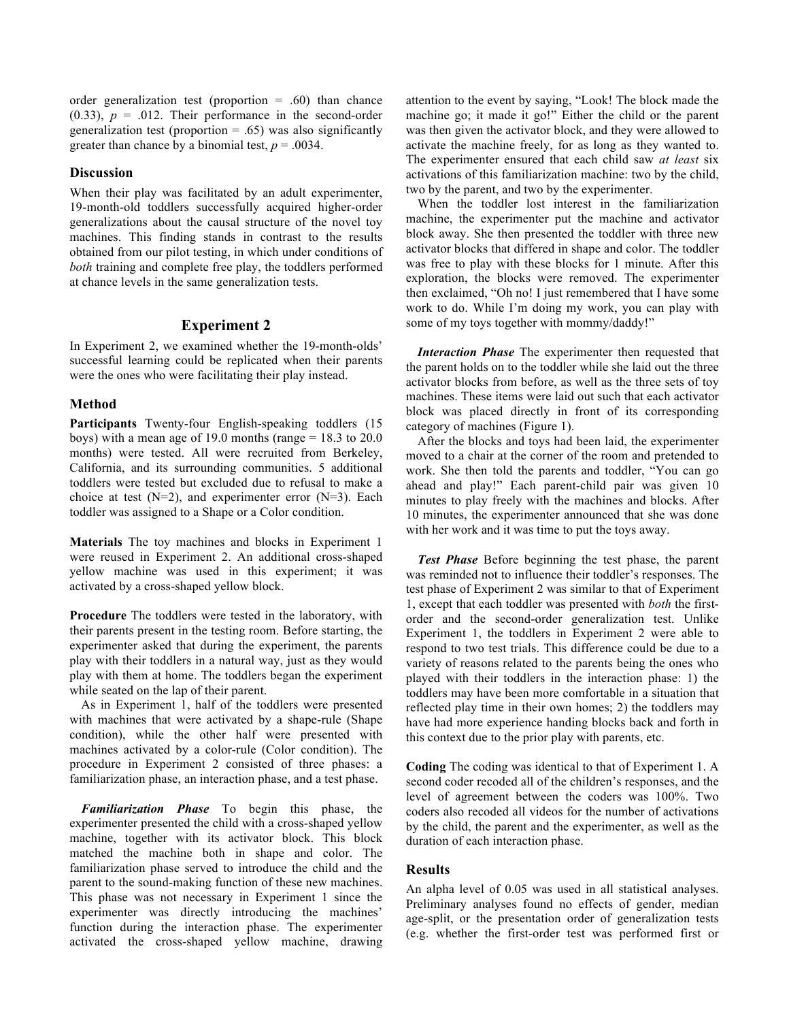order generalization test (proportion  $= .60$ ) than chance  $(0.33)$ ,  $p = .012$ . Their performance in the second-order generalization test (proportion  $= .65$ ) was also significantly greater than chance by a binomial test,  $p = .0034$ .

#### **Discussion**

When their play was facilitated by an adult experimenter, 19-month-old toddlers successfully acquired higher-order generalizations about the causal structure of the novel toy machines. This finding stands in contrast to the results obtained from our pilot testing, in which under conditions of *both* training and complete free play, the toddlers performed at chance levels in the same generalization tests.

#### **Experiment 2**

In Experiment 2, we examined whether the 19-month-olds' successful learning could be replicated when their parents were the ones who were facilitating their play instead.

#### **Method**

**Participants** Twenty-four English-speaking toddlers (15 boys) with a mean age of 19.0 months (range = 18.3 to 20.0 months) were tested. All were recruited from Berkeley, California, and its surrounding communities. 5 additional toddlers were tested but excluded due to refusal to make a choice at test  $(N=2)$ , and experimenter error  $(N=3)$ . Each toddler was assigned to a Shape or a Color condition.

**Materials** The toy machines and blocks in Experiment 1 were reused in Experiment 2. An additional cross-shaped yellow machine was used in this experiment; it was activated by a cross-shaped yellow block.

**Procedure** The toddlers were tested in the laboratory, with their parents present in the testing room. Before starting, the experimenter asked that during the experiment, the parents play with their toddlers in a natural way, just as they would play with them at home. The toddlers began the experiment while seated on the lap of their parent.

As in Experiment 1, half of the toddlers were presented with machines that were activated by a shape-rule (Shape condition), while the other half were presented with machines activated by a color-rule (Color condition). The procedure in Experiment 2 consisted of three phases: a familiarization phase, an interaction phase, and a test phase.

*Familiarization Phase* To begin this phase, the experimenter presented the child with a cross-shaped yellow machine, together with its activator block. This block matched the machine both in shape and color. The familiarization phase served to introduce the child and the parent to the sound-making function of these new machines. This phase was not necessary in Experiment 1 since the experimenter was directly introducing the machines' function during the interaction phase. The experimenter activated the cross-shaped yellow machine, drawing

attention to the event by saying, "Look! The block made the machine go; it made it go!" Either the child or the parent was then given the activator block, and they were allowed to activate the machine freely, for as long as they wanted to. The experimenter ensured that each child saw *at least* six activations of this familiarization machine: two by the child, two by the parent, and two by the experimenter.

When the toddler lost interest in the familiarization machine, the experimenter put the machine and activator block away. She then presented the toddler with three new activator blocks that differed in shape and color. The toddler was free to play with these blocks for 1 minute. After this exploration, the blocks were removed. The experimenter then exclaimed, "Oh no! I just remembered that I have some work to do. While I'm doing my work, you can play with some of my toys together with mommy/daddy!"

*Interaction Phase* The experimenter then requested that the parent holds on to the toddler while she laid out the three activator blocks from before, as well as the three sets of toy machines. These items were laid out such that each activator block was placed directly in front of its corresponding category of machines (Figure 1).

After the blocks and toys had been laid, the experimenter moved to a chair at the corner of the room and pretended to work. She then told the parents and toddler, "You can go ahead and play!" Each parent-child pair was given 10 minutes to play freely with the machines and blocks. After 10 minutes, the experimenter announced that she was done with her work and it was time to put the toys away.

*Test Phase* Before beginning the test phase, the parent was reminded not to influence their toddler's responses. The test phase of Experiment 2 was similar to that of Experiment 1, except that each toddler was presented with *both* the firstorder and the second-order generalization test. Unlike Experiment 1, the toddlers in Experiment 2 were able to respond to two test trials. This difference could be due to a variety of reasons related to the parents being the ones who played with their toddlers in the interaction phase: 1) the toddlers may have been more comfortable in a situation that reflected play time in their own homes; 2) the toddlers may have had more experience handing blocks back and forth in this context due to the prior play with parents, etc.

**Coding** The coding was identical to that of Experiment 1. A second coder recoded all of the children's responses, and the level of agreement between the coders was 100%. Two coders also recoded all videos for the number of activations by the child, the parent and the experimenter, as well as the duration of each interaction phase.

### **Results**

An alpha level of 0.05 was used in all statistical analyses. Preliminary analyses found no effects of gender, median age-split, or the presentation order of generalization tests (e.g. whether the first-order test was performed first or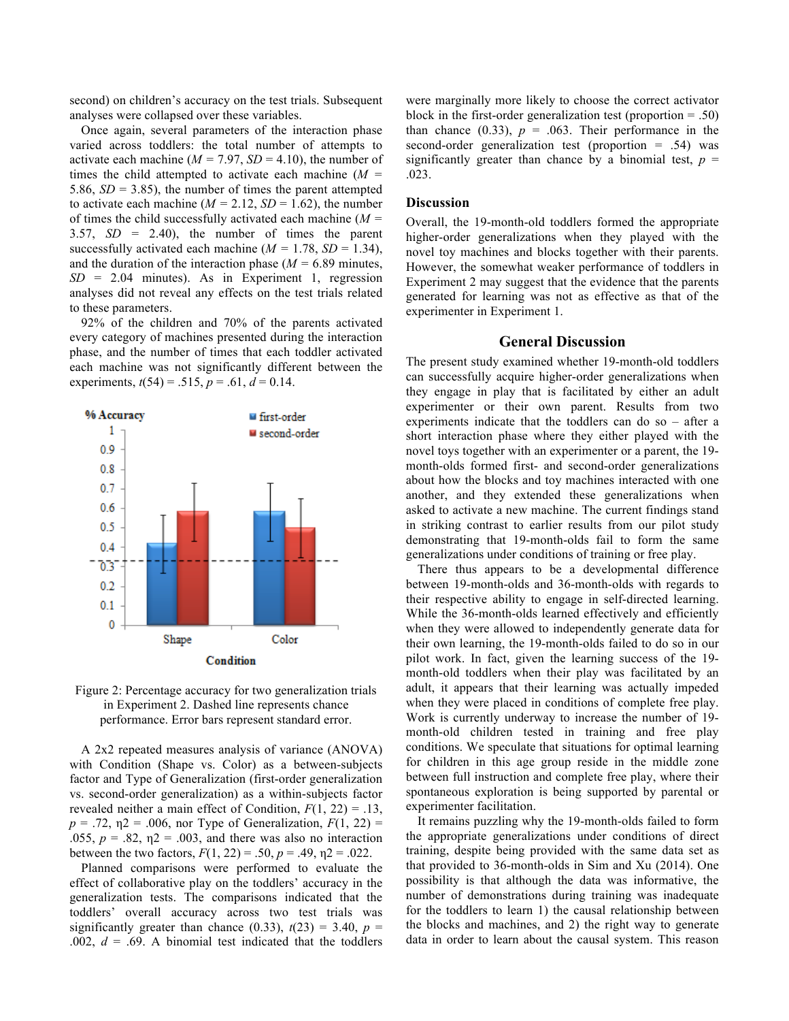second) on children's accuracy on the test trials. Subsequent analyses were collapsed over these variables.

Once again, several parameters of the interaction phase varied across toddlers: the total number of attempts to activate each machine  $(M = 7.97, SD = 4.10)$ , the number of times the child attempted to activate each machine (*M =* 5.86,  $SD = 3.85$ ), the number of times the parent attempted to activate each machine ( $M = 2.12$ ,  $SD = 1.62$ ), the number of times the child successfully activated each machine (*M =* 3.57, *SD* = 2.40), the number of times the parent successfully activated each machine  $(M = 1.78, SD = 1.34)$ , and the duration of the interaction phase ( $M = 6.89$  minutes,  $SD = 2.04$  minutes). As in Experiment 1, regression analyses did not reveal any effects on the test trials related to these parameters.

92% of the children and 70% of the parents activated every category of machines presented during the interaction phase, and the number of times that each toddler activated each machine was not significantly different between the experiments,  $t(54) = .515$ ,  $p = .61$ ,  $d = 0.14$ .





A 2x2 repeated measures analysis of variance (ANOVA) with Condition (Shape vs. Color) as a between-subjects factor and Type of Generalization (first-order generalization vs. second-order generalization) as a within-subjects factor revealed neither a main effect of Condition, *F*(1, 22) = .13,  $p = .72$ ,  $p = .006$ , nor Type of Generalization,  $F(1, 22) =$ .055,  $p = .82$ ,  $n = 0.003$ , and there was also no interaction between the two factors,  $F(1, 22) = .50$ ,  $p = .49$ ,  $n2 = .022$ .

Planned comparisons were performed to evaluate the effect of collaborative play on the toddlers' accuracy in the generalization tests. The comparisons indicated that the toddlers' overall accuracy across two test trials was significantly greater than chance (0.33),  $t(23) = 3.40$ ,  $p =$ .002,  $d = .69$ . A binomial test indicated that the toddlers were marginally more likely to choose the correct activator block in the first-order generalization test (proportion  $= .50$ ) than chance  $(0.33)$ ,  $p = .063$ . Their performance in the second-order generalization test (proportion  $= .54$ ) was significantly greater than chance by a binomial test,  $p =$ .023.

## **Discussion**

Overall, the 19-month-old toddlers formed the appropriate higher-order generalizations when they played with the novel toy machines and blocks together with their parents. However, the somewhat weaker performance of toddlers in Experiment 2 may suggest that the evidence that the parents generated for learning was not as effective as that of the experimenter in Experiment 1.

## **General Discussion**

The present study examined whether 19-month-old toddlers can successfully acquire higher-order generalizations when they engage in play that is facilitated by either an adult experimenter or their own parent. Results from two experiments indicate that the toddlers can do so – after a short interaction phase where they either played with the novel toys together with an experimenter or a parent, the 19 month-olds formed first- and second-order generalizations about how the blocks and toy machines interacted with one another, and they extended these generalizations when asked to activate a new machine. The current findings stand in striking contrast to earlier results from our pilot study demonstrating that 19-month-olds fail to form the same generalizations under conditions of training or free play.

There thus appears to be a developmental difference between 19-month-olds and 36-month-olds with regards to their respective ability to engage in self-directed learning. While the 36-month-olds learned effectively and efficiently when they were allowed to independently generate data for their own learning, the 19-month-olds failed to do so in our pilot work. In fact, given the learning success of the 19 month-old toddlers when their play was facilitated by an adult, it appears that their learning was actually impeded when they were placed in conditions of complete free play. Work is currently underway to increase the number of 19 month-old children tested in training and free play conditions. We speculate that situations for optimal learning for children in this age group reside in the middle zone between full instruction and complete free play, where their spontaneous exploration is being supported by parental or experimenter facilitation.

It remains puzzling why the 19-month-olds failed to form the appropriate generalizations under conditions of direct training, despite being provided with the same data set as that provided to 36-month-olds in Sim and Xu (2014). One possibility is that although the data was informative, the number of demonstrations during training was inadequate for the toddlers to learn 1) the causal relationship between the blocks and machines, and 2) the right way to generate data in order to learn about the causal system. This reason